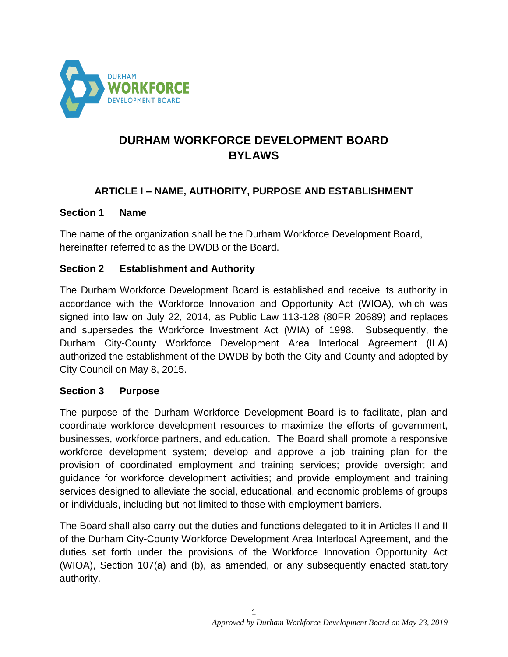

# **DURHAM WORKFORCE DEVELOPMENT BOARD BYLAWS**

### **ARTICLE I – NAME, AUTHORITY, PURPOSE AND ESTABLISHMENT**

#### **Section 1 Name**

The name of the organization shall be the Durham Workforce Development Board, hereinafter referred to as the DWDB or the Board.

### **Section 2 Establishment and Authority**

The Durham Workforce Development Board is established and receive its authority in accordance with the Workforce Innovation and Opportunity Act (WIOA), which was signed into law on July 22, 2014, as Public Law 113-128 (80FR 20689) and replaces and supersedes the Workforce Investment Act (WIA) of 1998. Subsequently, the Durham City-County Workforce Development Area Interlocal Agreement (ILA) authorized the establishment of the DWDB by both the City and County and adopted by City Council on May 8, 2015.

#### **Section 3 Purpose**

The purpose of the Durham Workforce Development Board is to facilitate, plan and coordinate workforce development resources to maximize the efforts of government, businesses, workforce partners, and education. The Board shall promote a responsive workforce development system; develop and approve a job training plan for the provision of coordinated employment and training services; provide oversight and guidance for workforce development activities; and provide employment and training services designed to alleviate the social, educational, and economic problems of groups or individuals, including but not limited to those with employment barriers.

The Board shall also carry out the duties and functions delegated to it in Articles II and II of the Durham City-County Workforce Development Area Interlocal Agreement, and the duties set forth under the provisions of the Workforce Innovation Opportunity Act (WIOA), Section 107(a) and (b), as amended, or any subsequently enacted statutory authority.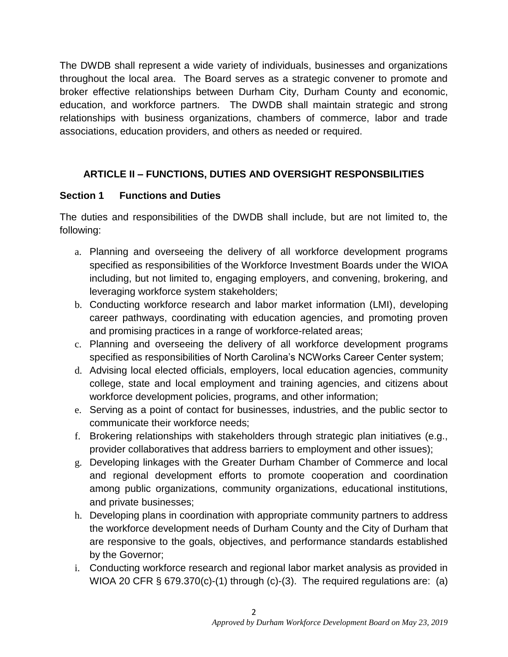The DWDB shall represent a wide variety of individuals, businesses and organizations throughout the local area. The Board serves as a strategic convener to promote and broker effective relationships between Durham City, Durham County and economic, education, and workforce partners. The DWDB shall maintain strategic and strong relationships with business organizations, chambers of commerce, labor and trade associations, education providers, and others as needed or required.

## **ARTICLE II – FUNCTIONS, DUTIES AND OVERSIGHT RESPONSBILITIES**

### **Section 1 Functions and Duties**

The duties and responsibilities of the DWDB shall include, but are not limited to, the following:

- a. Planning and overseeing the delivery of all workforce development programs specified as responsibilities of the Workforce Investment Boards under the WIOA including, but not limited to, engaging employers, and convening, brokering, and leveraging workforce system stakeholders;
- b. Conducting workforce research and labor market information (LMI), developing career pathways, coordinating with education agencies, and promoting proven and promising practices in a range of workforce-related areas;
- c. Planning and overseeing the delivery of all workforce development programs specified as responsibilities of North Carolina's NCWorks Career Center system;
- d. Advising local elected officials, employers, local education agencies, community college, state and local employment and training agencies, and citizens about workforce development policies, programs, and other information;
- e. Serving as a point of contact for businesses, industries, and the public sector to communicate their workforce needs;
- f. Brokering relationships with stakeholders through strategic plan initiatives (e.g., provider collaboratives that address barriers to employment and other issues);
- g. Developing linkages with the Greater Durham Chamber of Commerce and local and regional development efforts to promote cooperation and coordination among public organizations, community organizations, educational institutions, and private businesses;
- h. Developing plans in coordination with appropriate community partners to address the workforce development needs of Durham County and the City of Durham that are responsive to the goals, objectives, and performance standards established by the Governor;
- i. Conducting workforce research and regional labor market analysis as provided in WIOA 20 CFR § 679.370(c)-(1) through (c)-(3). The required regulations are: (a)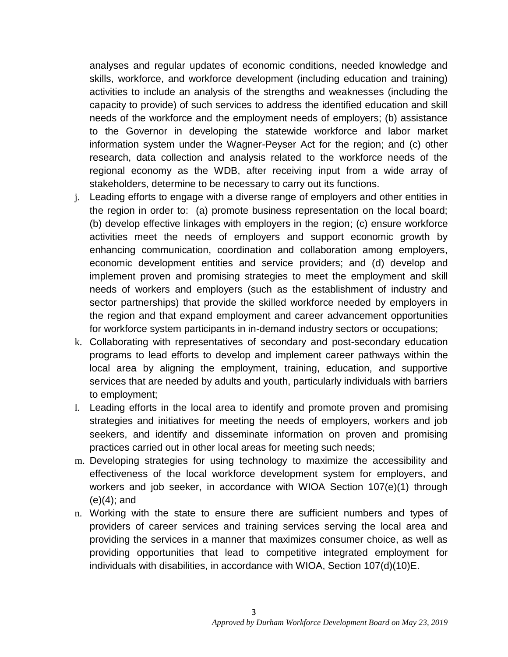analyses and regular updates of economic conditions, needed knowledge and skills, workforce, and workforce development (including education and training) activities to include an analysis of the strengths and weaknesses (including the capacity to provide) of such services to address the identified education and skill needs of the workforce and the employment needs of employers; (b) assistance to the Governor in developing the statewide workforce and labor market information system under the Wagner-Peyser Act for the region; and (c) other research, data collection and analysis related to the workforce needs of the regional economy as the WDB, after receiving input from a wide array of stakeholders, determine to be necessary to carry out its functions.

- j. Leading efforts to engage with a diverse range of employers and other entities in the region in order to: (a) promote business representation on the local board; (b) develop effective linkages with employers in the region; (c) ensure workforce activities meet the needs of employers and support economic growth by enhancing communication, coordination and collaboration among employers, economic development entities and service providers; and (d) develop and implement proven and promising strategies to meet the employment and skill needs of workers and employers (such as the establishment of industry and sector partnerships) that provide the skilled workforce needed by employers in the region and that expand employment and career advancement opportunities for workforce system participants in in-demand industry sectors or occupations;
- k. Collaborating with representatives of secondary and post-secondary education programs to lead efforts to develop and implement career pathways within the local area by aligning the employment, training, education, and supportive services that are needed by adults and youth, particularly individuals with barriers to employment;
- l. Leading efforts in the local area to identify and promote proven and promising strategies and initiatives for meeting the needs of employers, workers and job seekers, and identify and disseminate information on proven and promising practices carried out in other local areas for meeting such needs;
- m. Developing strategies for using technology to maximize the accessibility and effectiveness of the local workforce development system for employers, and workers and job seeker, in accordance with WIOA Section 107(e)(1) through  $(e)(4)$ ; and
- n. Working with the state to ensure there are sufficient numbers and types of providers of career services and training services serving the local area and providing the services in a manner that maximizes consumer choice, as well as providing opportunities that lead to competitive integrated employment for individuals with disabilities, in accordance with WIOA, Section 107(d)(10)E.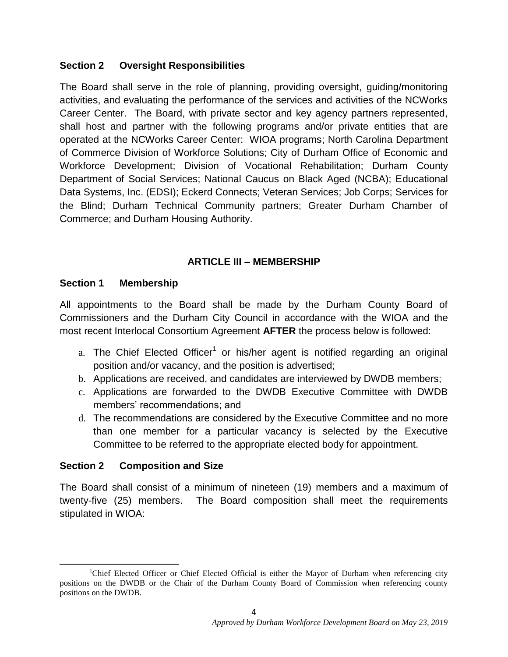### **Section 2 Oversight Responsibilities**

The Board shall serve in the role of planning, providing oversight, guiding/monitoring activities, and evaluating the performance of the services and activities of the NCWorks Career Center. The Board, with private sector and key agency partners represented, shall host and partner with the following programs and/or private entities that are operated at the NCWorks Career Center: WIOA programs; North Carolina Department of Commerce Division of Workforce Solutions; City of Durham Office of Economic and Workforce Development; Division of Vocational Rehabilitation; Durham County Department of Social Services; National Caucus on Black Aged (NCBA); Educational Data Systems, Inc. (EDSI); Eckerd Connects; Veteran Services; Job Corps; Services for the Blind; Durham Technical Community partners; Greater Durham Chamber of Commerce; and Durham Housing Authority.

### **ARTICLE III – MEMBERSHIP**

#### **Section 1 Membership**

All appointments to the Board shall be made by the Durham County Board of Commissioners and the Durham City Council in accordance with the WIOA and the most recent Interlocal Consortium Agreement **AFTER** the process below is followed:

- a. The Chief Elected Officer<sup>1</sup> or his/her agent is notified regarding an original position and/or vacancy, and the position is advertised;
- b. Applications are received, and candidates are interviewed by DWDB members;
- c. Applications are forwarded to the DWDB Executive Committee with DWDB members' recommendations; and
- d. The recommendations are considered by the Executive Committee and no more than one member for a particular vacancy is selected by the Executive Committee to be referred to the appropriate elected body for appointment.

### **Section 2 Composition and Size**

The Board shall consist of a minimum of nineteen (19) members and a maximum of twenty-five (25) members. The Board composition shall meet the requirements stipulated in WIOA:

 $\overline{\phantom{a}}$ <sup>1</sup>Chief Elected Officer or Chief Elected Official is either the Mayor of Durham when referencing city positions on the DWDB or the Chair of the Durham County Board of Commission when referencing county positions on the DWDB.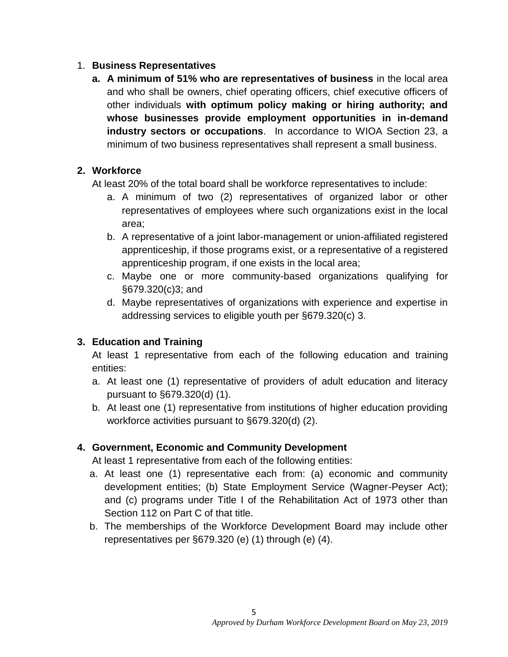### 1. **Business Representatives**

**a. A minimum of 51% who are representatives of business** in the local area and who shall be owners, chief operating officers, chief executive officers of other individuals **with optimum policy making or hiring authority; and whose businesses provide employment opportunities in in-demand industry sectors or occupations**. In accordance to WIOA Section 23, a minimum of two business representatives shall represent a small business.

## **2. Workforce**

At least 20% of the total board shall be workforce representatives to include:

- a. A minimum of two (2) representatives of organized labor or other representatives of employees where such organizations exist in the local area;
- b. A representative of a joint labor-management or union-affiliated registered apprenticeship, if those programs exist, or a representative of a registered apprenticeship program, if one exists in the local area;
- c. Maybe one or more community-based organizations qualifying for §679.320(c)3; and
- d. Maybe representatives of organizations with experience and expertise in addressing services to eligible youth per §679.320(c) 3.

## **3. Education and Training**

At least 1 representative from each of the following education and training entities:

- a. At least one (1) representative of providers of adult education and literacy pursuant to §679.320(d) (1).
- b. At least one (1) representative from institutions of higher education providing workforce activities pursuant to §679.320(d) (2).

## **4. Government, Economic and Community Development**

At least 1 representative from each of the following entities:

- a. At least one (1) representative each from: (a) economic and community development entities; (b) State Employment Service (Wagner-Peyser Act); and (c) programs under Title I of the Rehabilitation Act of 1973 other than Section 112 on Part C of that title.
- b. The memberships of the Workforce Development Board may include other representatives per §679.320 (e) (1) through (e) (4).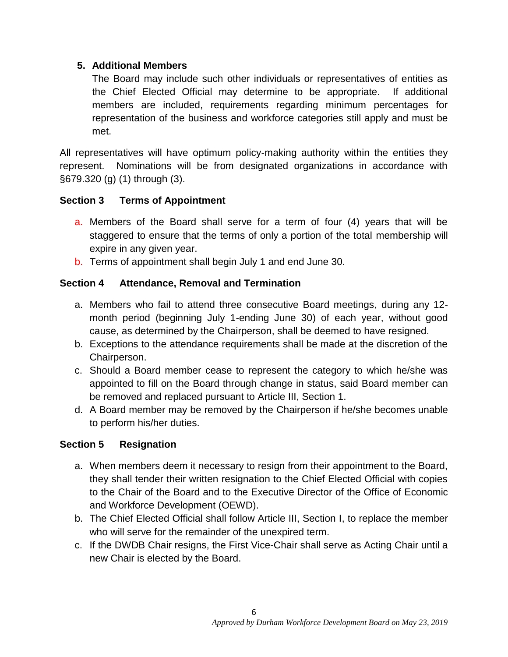### **5. Additional Members**

The Board may include such other individuals or representatives of entities as the Chief Elected Official may determine to be appropriate. If additional members are included, requirements regarding minimum percentages for representation of the business and workforce categories still apply and must be met.

All representatives will have optimum policy-making authority within the entities they represent. Nominations will be from designated organizations in accordance with §679.320 (g) (1) through (3).

### **Section 3 Terms of Appointment**

- a. Members of the Board shall serve for a term of four (4) years that will be staggered to ensure that the terms of only a portion of the total membership will expire in any given year.
- b. Terms of appointment shall begin July 1 and end June 30.

## **Section 4 Attendance, Removal and Termination**

- a. Members who fail to attend three consecutive Board meetings, during any 12 month period (beginning July 1-ending June 30) of each year, without good cause, as determined by the Chairperson, shall be deemed to have resigned.
- b. Exceptions to the attendance requirements shall be made at the discretion of the Chairperson.
- c. Should a Board member cease to represent the category to which he/she was appointed to fill on the Board through change in status, said Board member can be removed and replaced pursuant to Article III, Section 1.
- d. A Board member may be removed by the Chairperson if he/she becomes unable to perform his/her duties.

## **Section 5 Resignation**

- a. When members deem it necessary to resign from their appointment to the Board, they shall tender their written resignation to the Chief Elected Official with copies to the Chair of the Board and to the Executive Director of the Office of Economic and Workforce Development (OEWD).
- b. The Chief Elected Official shall follow Article III, Section I, to replace the member who will serve for the remainder of the unexpired term.
- c. If the DWDB Chair resigns, the First Vice-Chair shall serve as Acting Chair until a new Chair is elected by the Board.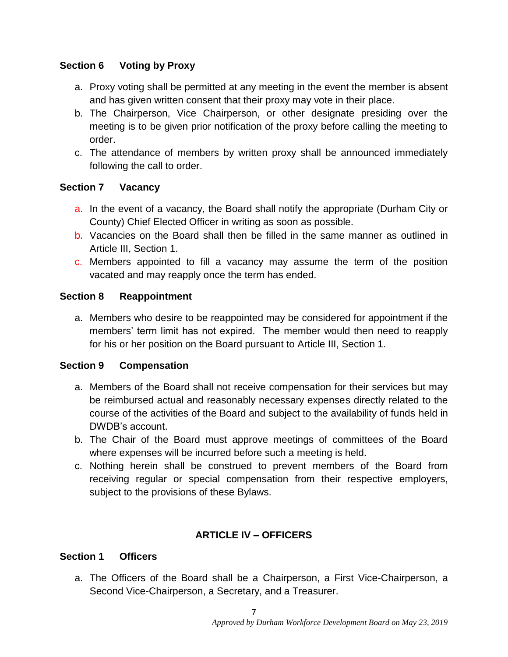## **Section 6 Voting by Proxy**

- a. Proxy voting shall be permitted at any meeting in the event the member is absent and has given written consent that their proxy may vote in their place.
- b. The Chairperson, Vice Chairperson, or other designate presiding over the meeting is to be given prior notification of the proxy before calling the meeting to order.
- c. The attendance of members by written proxy shall be announced immediately following the call to order.

### **Section 7 Vacancy**

- a. In the event of a vacancy, the Board shall notify the appropriate (Durham City or County) Chief Elected Officer in writing as soon as possible.
- b. Vacancies on the Board shall then be filled in the same manner as outlined in Article III, Section 1.
- c. Members appointed to fill a vacancy may assume the term of the position vacated and may reapply once the term has ended.

### **Section 8 Reappointment**

a. Members who desire to be reappointed may be considered for appointment if the members' term limit has not expired. The member would then need to reapply for his or her position on the Board pursuant to Article III, Section 1.

### **Section 9 Compensation**

- a. Members of the Board shall not receive compensation for their services but may be reimbursed actual and reasonably necessary expenses directly related to the course of the activities of the Board and subject to the availability of funds held in DWDB's account.
- b. The Chair of the Board must approve meetings of committees of the Board where expenses will be incurred before such a meeting is held.
- c. Nothing herein shall be construed to prevent members of the Board from receiving regular or special compensation from their respective employers, subject to the provisions of these Bylaws.

## **ARTICLE IV – OFFICERS**

### **Section 1 Officers**

a. The Officers of the Board shall be a Chairperson, a First Vice-Chairperson, a Second Vice-Chairperson, a Secretary, and a Treasurer.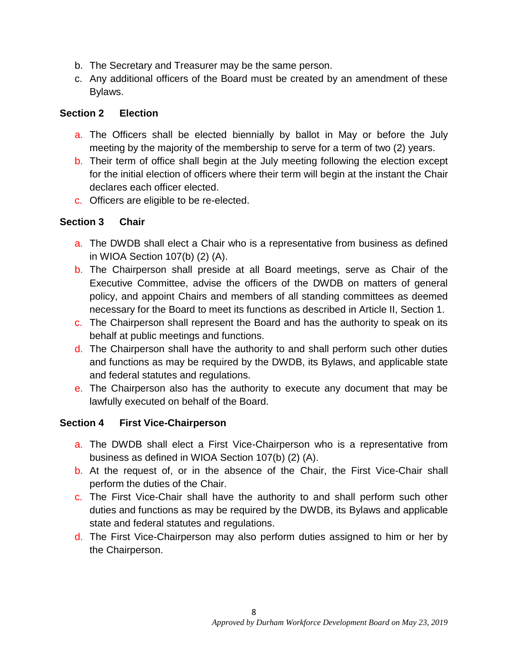- b. The Secretary and Treasurer may be the same person.
- c. Any additional officers of the Board must be created by an amendment of these Bylaws.

### **Section 2 Election**

- a. The Officers shall be elected biennially by ballot in May or before the July meeting by the majority of the membership to serve for a term of two (2) years.
- b. Their term of office shall begin at the July meeting following the election except for the initial election of officers where their term will begin at the instant the Chair declares each officer elected.
- c. Officers are eligible to be re-elected.

### **Section 3 Chair**

- a. The DWDB shall elect a Chair who is a representative from business as defined in WIOA Section 107(b) (2) (A).
- b. The Chairperson shall preside at all Board meetings, serve as Chair of the Executive Committee, advise the officers of the DWDB on matters of general policy, and appoint Chairs and members of all standing committees as deemed necessary for the Board to meet its functions as described in Article II, Section 1.
- c. The Chairperson shall represent the Board and has the authority to speak on its behalf at public meetings and functions.
- d. The Chairperson shall have the authority to and shall perform such other duties and functions as may be required by the DWDB, its Bylaws, and applicable state and federal statutes and regulations.
- e. The Chairperson also has the authority to execute any document that may be lawfully executed on behalf of the Board.

### **Section 4 First Vice-Chairperson**

- a. The DWDB shall elect a First Vice-Chairperson who is a representative from business as defined in WIOA Section 107(b) (2) (A).
- b. At the request of, or in the absence of the Chair, the First Vice-Chair shall perform the duties of the Chair.
- c. The First Vice-Chair shall have the authority to and shall perform such other duties and functions as may be required by the DWDB, its Bylaws and applicable state and federal statutes and regulations.
- d. The First Vice-Chairperson may also perform duties assigned to him or her by the Chairperson.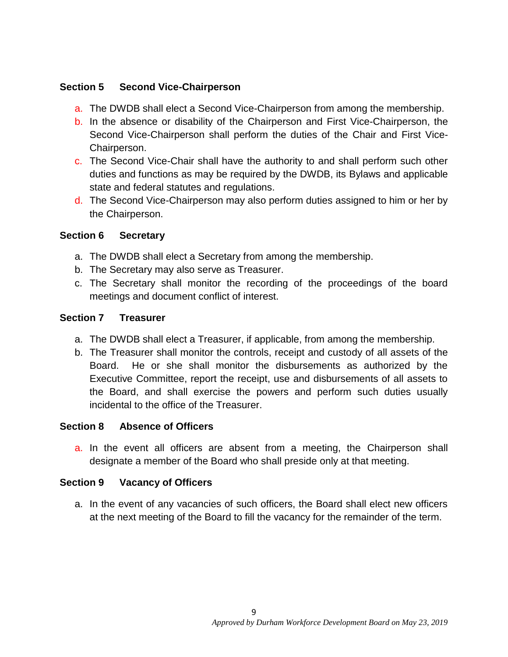### **Section 5 Second Vice-Chairperson**

- a. The DWDB shall elect a Second Vice-Chairperson from among the membership.
- b. In the absence or disability of the Chairperson and First Vice-Chairperson, the Second Vice-Chairperson shall perform the duties of the Chair and First Vice-Chairperson.
- c. The Second Vice-Chair shall have the authority to and shall perform such other duties and functions as may be required by the DWDB, its Bylaws and applicable state and federal statutes and regulations.
- d. The Second Vice-Chairperson may also perform duties assigned to him or her by the Chairperson.

#### **Section 6 Secretary**

- a. The DWDB shall elect a Secretary from among the membership.
- b. The Secretary may also serve as Treasurer.
- c. The Secretary shall monitor the recording of the proceedings of the board meetings and document conflict of interest.

#### **Section 7 Treasurer**

- a. The DWDB shall elect a Treasurer, if applicable, from among the membership.
- b. The Treasurer shall monitor the controls, receipt and custody of all assets of the Board. He or she shall monitor the disbursements as authorized by the Executive Committee, report the receipt, use and disbursements of all assets to the Board, and shall exercise the powers and perform such duties usually incidental to the office of the Treasurer.

#### **Section 8 Absence of Officers**

a. In the event all officers are absent from a meeting, the Chairperson shall designate a member of the Board who shall preside only at that meeting.

#### **Section 9 Vacancy of Officers**

a. In the event of any vacancies of such officers, the Board shall elect new officers at the next meeting of the Board to fill the vacancy for the remainder of the term.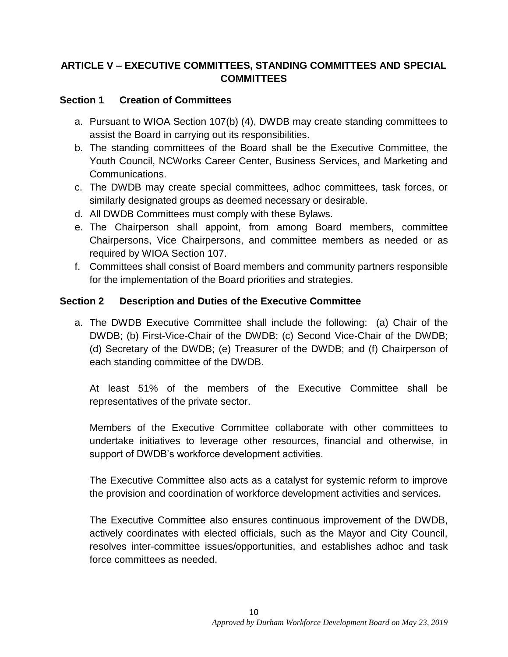## **ARTICLE V – EXECUTIVE COMMITTEES, STANDING COMMITTEES AND SPECIAL COMMITTEES**

### **Section 1 Creation of Committees**

- a. Pursuant to WIOA Section 107(b) (4), DWDB may create standing committees to assist the Board in carrying out its responsibilities.
- b. The standing committees of the Board shall be the Executive Committee, the Youth Council, NCWorks Career Center, Business Services, and Marketing and Communications.
- c. The DWDB may create special committees, adhoc committees, task forces, or similarly designated groups as deemed necessary or desirable.
- d. All DWDB Committees must comply with these Bylaws.
- e. The Chairperson shall appoint, from among Board members, committee Chairpersons, Vice Chairpersons, and committee members as needed or as required by WIOA Section 107.
- f. Committees shall consist of Board members and community partners responsible for the implementation of the Board priorities and strategies.

#### **Section 2 Description and Duties of the Executive Committee**

a. The DWDB Executive Committee shall include the following: (a) Chair of the DWDB; (b) First-Vice-Chair of the DWDB; (c) Second Vice-Chair of the DWDB; (d) Secretary of the DWDB; (e) Treasurer of the DWDB; and (f) Chairperson of each standing committee of the DWDB.

At least 51% of the members of the Executive Committee shall be representatives of the private sector.

Members of the Executive Committee collaborate with other committees to undertake initiatives to leverage other resources, financial and otherwise, in support of DWDB's workforce development activities.

The Executive Committee also acts as a catalyst for systemic reform to improve the provision and coordination of workforce development activities and services.

The Executive Committee also ensures continuous improvement of the DWDB, actively coordinates with elected officials, such as the Mayor and City Council, resolves inter-committee issues/opportunities, and establishes adhoc and task force committees as needed.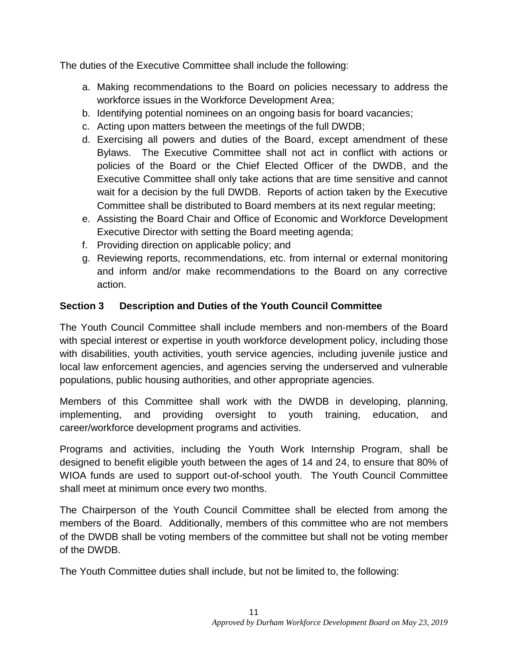The duties of the Executive Committee shall include the following:

- a. Making recommendations to the Board on policies necessary to address the workforce issues in the Workforce Development Area;
- b. Identifying potential nominees on an ongoing basis for board vacancies;
- c. Acting upon matters between the meetings of the full DWDB;
- d. Exercising all powers and duties of the Board, except amendment of these Bylaws. The Executive Committee shall not act in conflict with actions or policies of the Board or the Chief Elected Officer of the DWDB, and the Executive Committee shall only take actions that are time sensitive and cannot wait for a decision by the full DWDB. Reports of action taken by the Executive Committee shall be distributed to Board members at its next regular meeting;
- e. Assisting the Board Chair and Office of Economic and Workforce Development Executive Director with setting the Board meeting agenda;
- f. Providing direction on applicable policy; and
- g. Reviewing reports, recommendations, etc. from internal or external monitoring and inform and/or make recommendations to the Board on any corrective action.

## **Section 3 Description and Duties of the Youth Council Committee**

The Youth Council Committee shall include members and non-members of the Board with special interest or expertise in youth workforce development policy, including those with disabilities, youth activities, youth service agencies, including juvenile justice and local law enforcement agencies, and agencies serving the underserved and vulnerable populations, public housing authorities, and other appropriate agencies.

Members of this Committee shall work with the DWDB in developing, planning, implementing, and providing oversight to youth training, education, and career/workforce development programs and activities.

Programs and activities, including the Youth Work Internship Program, shall be designed to benefit eligible youth between the ages of 14 and 24, to ensure that 80% of WIOA funds are used to support out-of-school youth. The Youth Council Committee shall meet at minimum once every two months.

The Chairperson of the Youth Council Committee shall be elected from among the members of the Board. Additionally, members of this committee who are not members of the DWDB shall be voting members of the committee but shall not be voting member of the DWDB.

The Youth Committee duties shall include, but not be limited to, the following: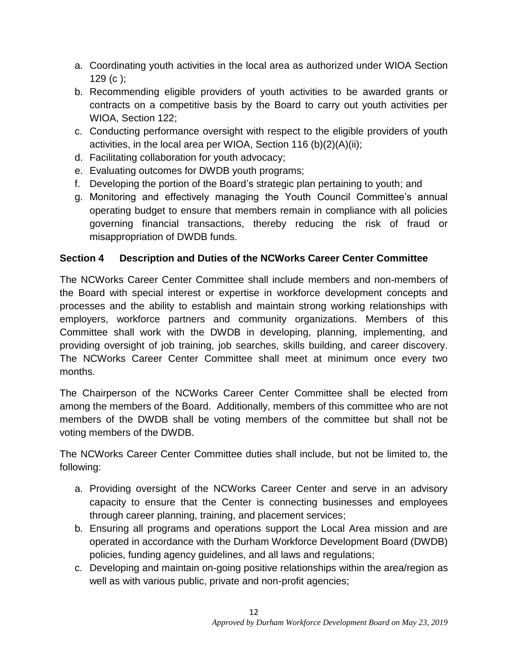- a. Coordinating youth activities in the local area as authorized under WIOA Section  $129$  (c):
- b. Recommending eligible providers of youth activities to be awarded grants or contracts on a competitive basis by the Board to carry out youth activities per WIOA, Section 122;
- c. Conducting performance oversight with respect to the eligible providers of youth activities, in the local area per WIOA, Section 116 (b)(2)(A)(ii);
- d. Facilitating collaboration for youth advocacy;
- e. Evaluating outcomes for DWDB youth programs;
- f. Developing the portion of the Board's strategic plan pertaining to youth; and
- g. Monitoring and effectively managing the Youth Council Committee's annual operating budget to ensure that members remain in compliance with all policies governing financial transactions, thereby reducing the risk of fraud or misappropriation of DWDB funds.

### **Section 4 Description and Duties of the NCWorks Career Center Committee**

The NCWorks Career Center Committee shall include members and non-members of the Board with special interest or expertise in workforce development concepts and processes and the ability to establish and maintain strong working relationships with employers, workforce partners and community organizations. Members of this Committee shall work with the DWDB in developing, planning, implementing, and providing oversight of job training, job searches, skills building, and career discovery. The NCWorks Career Center Committee shall meet at minimum once every two months.

The Chairperson of the NCWorks Career Center Committee shall be elected from among the members of the Board. Additionally, members of this committee who are not members of the DWDB shall be voting members of the committee but shall not be voting members of the DWDB.

The NCWorks Career Center Committee duties shall include, but not be limited to, the following:

- a. Providing oversight of the NCWorks Career Center and serve in an advisory capacity to ensure that the Center is connecting businesses and employees through career planning, training, and placement services;
- b. Ensuring all programs and operations support the Local Area mission and are operated in accordance with the Durham Workforce Development Board (DWDB) policies, funding agency guidelines, and all laws and regulations;
- c. Developing and maintain on-going positive relationships within the area/region as well as with various public, private and non-profit agencies;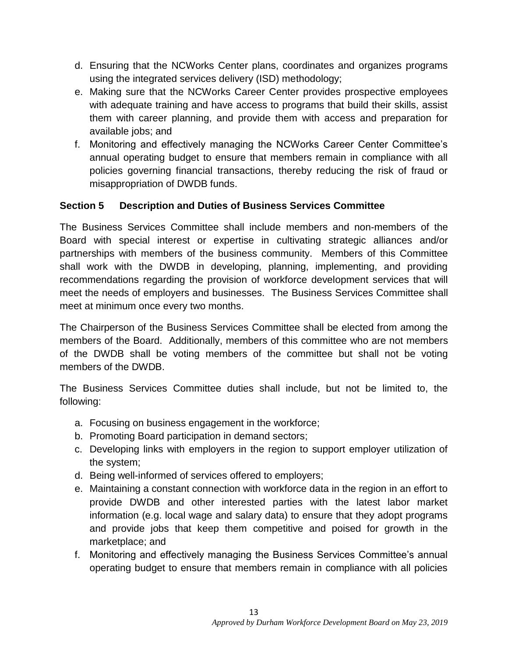- d. Ensuring that the NCWorks Center plans, coordinates and organizes programs using the integrated services delivery (ISD) methodology;
- e. Making sure that the NCWorks Career Center provides prospective employees with adequate training and have access to programs that build their skills, assist them with career planning, and provide them with access and preparation for available jobs; and
- f. Monitoring and effectively managing the NCWorks Career Center Committee's annual operating budget to ensure that members remain in compliance with all policies governing financial transactions, thereby reducing the risk of fraud or misappropriation of DWDB funds.

### **Section 5 Description and Duties of Business Services Committee**

The Business Services Committee shall include members and non-members of the Board with special interest or expertise in cultivating strategic alliances and/or partnerships with members of the business community. Members of this Committee shall work with the DWDB in developing, planning, implementing, and providing recommendations regarding the provision of workforce development services that will meet the needs of employers and businesses. The Business Services Committee shall meet at minimum once every two months.

The Chairperson of the Business Services Committee shall be elected from among the members of the Board. Additionally, members of this committee who are not members of the DWDB shall be voting members of the committee but shall not be voting members of the DWDB.

The Business Services Committee duties shall include, but not be limited to, the following:

- a. Focusing on business engagement in the workforce;
- b. Promoting Board participation in demand sectors;
- c. Developing links with employers in the region to support employer utilization of the system;
- d. Being well-informed of services offered to employers;
- e. Maintaining a constant connection with workforce data in the region in an effort to provide DWDB and other interested parties with the latest labor market information (e.g. local wage and salary data) to ensure that they adopt programs and provide jobs that keep them competitive and poised for growth in the marketplace; and
- f. Monitoring and effectively managing the Business Services Committee's annual operating budget to ensure that members remain in compliance with all policies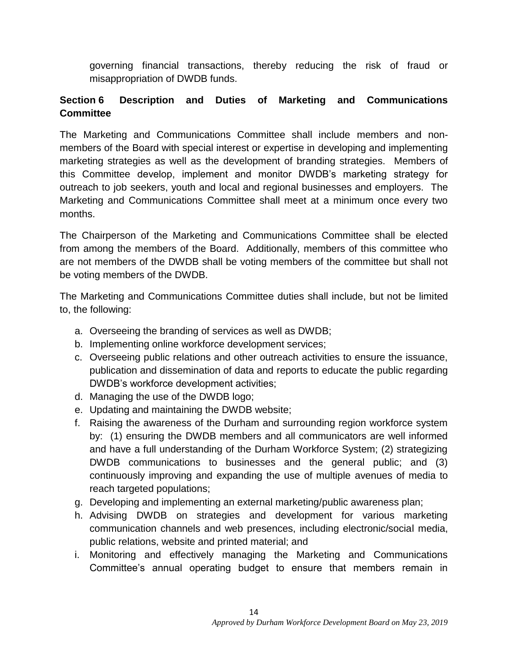governing financial transactions, thereby reducing the risk of fraud or misappropriation of DWDB funds.

## **Section 6 Description and Duties of Marketing and Communications Committee**

The Marketing and Communications Committee shall include members and nonmembers of the Board with special interest or expertise in developing and implementing marketing strategies as well as the development of branding strategies. Members of this Committee develop, implement and monitor DWDB's marketing strategy for outreach to job seekers, youth and local and regional businesses and employers. The Marketing and Communications Committee shall meet at a minimum once every two months.

The Chairperson of the Marketing and Communications Committee shall be elected from among the members of the Board. Additionally, members of this committee who are not members of the DWDB shall be voting members of the committee but shall not be voting members of the DWDB.

The Marketing and Communications Committee duties shall include, but not be limited to, the following:

- a. Overseeing the branding of services as well as DWDB;
- b. Implementing online workforce development services;
- c. Overseeing public relations and other outreach activities to ensure the issuance, publication and dissemination of data and reports to educate the public regarding DWDB's workforce development activities;
- d. Managing the use of the DWDB logo;
- e. Updating and maintaining the DWDB website;
- f. Raising the awareness of the Durham and surrounding region workforce system by: (1) ensuring the DWDB members and all communicators are well informed and have a full understanding of the Durham Workforce System; (2) strategizing DWDB communications to businesses and the general public; and (3) continuously improving and expanding the use of multiple avenues of media to reach targeted populations;
- g. Developing and implementing an external marketing/public awareness plan;
- h. Advising DWDB on strategies and development for various marketing communication channels and web presences, including electronic/social media, public relations, website and printed material; and
- i. Monitoring and effectively managing the Marketing and Communications Committee's annual operating budget to ensure that members remain in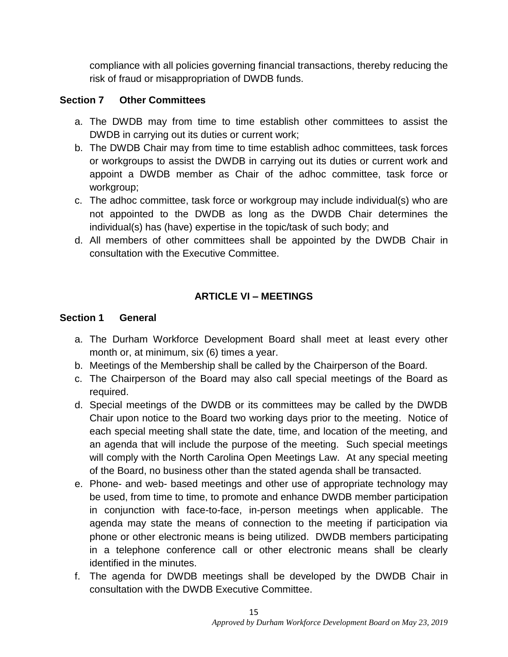compliance with all policies governing financial transactions, thereby reducing the risk of fraud or misappropriation of DWDB funds.

## **Section 7 Other Committees**

- a. The DWDB may from time to time establish other committees to assist the DWDB in carrying out its duties or current work;
- b. The DWDB Chair may from time to time establish adhoc committees, task forces or workgroups to assist the DWDB in carrying out its duties or current work and appoint a DWDB member as Chair of the adhoc committee, task force or workgroup;
- c. The adhoc committee, task force or workgroup may include individual(s) who are not appointed to the DWDB as long as the DWDB Chair determines the individual(s) has (have) expertise in the topic/task of such body; and
- d. All members of other committees shall be appointed by the DWDB Chair in consultation with the Executive Committee.

## **ARTICLE VI – MEETINGS**

### **Section 1 General**

- a. The Durham Workforce Development Board shall meet at least every other month or, at minimum, six (6) times a year.
- b. Meetings of the Membership shall be called by the Chairperson of the Board.
- c. The Chairperson of the Board may also call special meetings of the Board as required.
- d. Special meetings of the DWDB or its committees may be called by the DWDB Chair upon notice to the Board two working days prior to the meeting. Notice of each special meeting shall state the date, time, and location of the meeting, and an agenda that will include the purpose of the meeting. Such special meetings will comply with the North Carolina Open Meetings Law. At any special meeting of the Board, no business other than the stated agenda shall be transacted.
- e. Phone- and web- based meetings and other use of appropriate technology may be used, from time to time, to promote and enhance DWDB member participation in conjunction with face-to-face, in-person meetings when applicable. The agenda may state the means of connection to the meeting if participation via phone or other electronic means is being utilized. DWDB members participating in a telephone conference call or other electronic means shall be clearly identified in the minutes.
- f. The agenda for DWDB meetings shall be developed by the DWDB Chair in consultation with the DWDB Executive Committee.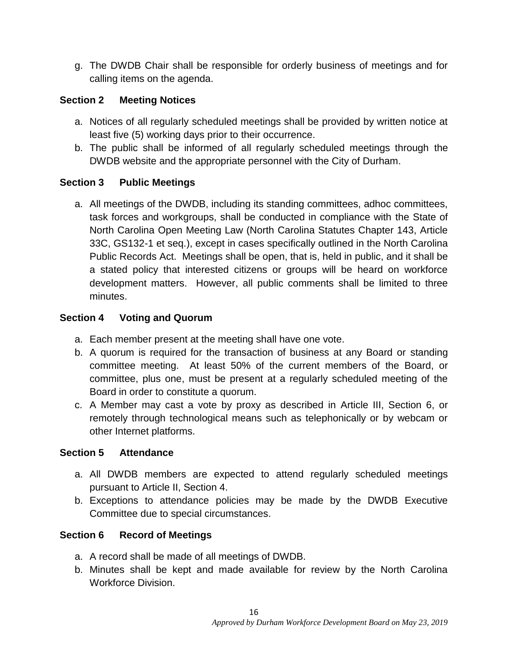g. The DWDB Chair shall be responsible for orderly business of meetings and for calling items on the agenda.

## **Section 2 Meeting Notices**

- a. Notices of all regularly scheduled meetings shall be provided by written notice at least five (5) working days prior to their occurrence.
- b. The public shall be informed of all regularly scheduled meetings through the DWDB website and the appropriate personnel with the City of Durham.

## **Section 3 Public Meetings**

a. All meetings of the DWDB, including its standing committees, adhoc committees, task forces and workgroups, shall be conducted in compliance with the State of North Carolina Open Meeting Law (North Carolina Statutes Chapter 143, Article 33C, GS132-1 et seq.), except in cases specifically outlined in the North Carolina Public Records Act. Meetings shall be open, that is, held in public, and it shall be a stated policy that interested citizens or groups will be heard on workforce development matters. However, all public comments shall be limited to three minutes.

## **Section 4 Voting and Quorum**

- a. Each member present at the meeting shall have one vote.
- b. A quorum is required for the transaction of business at any Board or standing committee meeting. At least 50% of the current members of the Board, or committee, plus one, must be present at a regularly scheduled meeting of the Board in order to constitute a quorum.
- c. A Member may cast a vote by proxy as described in Article III, Section 6, or remotely through technological means such as telephonically or by webcam or other Internet platforms.

## **Section 5 Attendance**

- a. All DWDB members are expected to attend regularly scheduled meetings pursuant to Article II, Section 4.
- b. Exceptions to attendance policies may be made by the DWDB Executive Committee due to special circumstances.

## **Section 6 Record of Meetings**

- a. A record shall be made of all meetings of DWDB.
- b. Minutes shall be kept and made available for review by the North Carolina Workforce Division.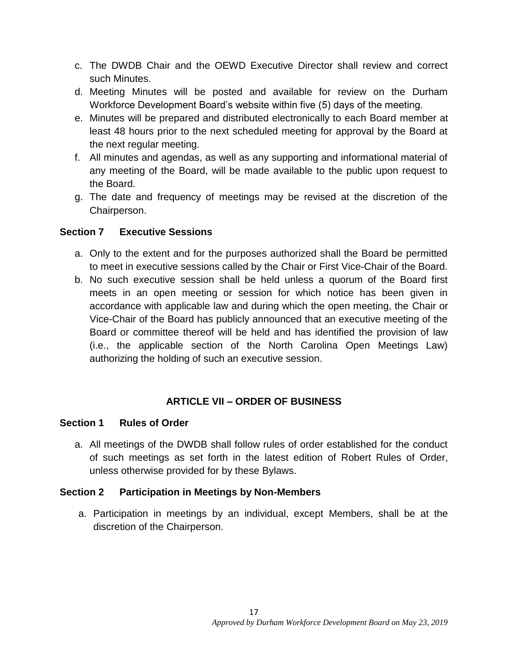- c. The DWDB Chair and the OEWD Executive Director shall review and correct such Minutes.
- d. Meeting Minutes will be posted and available for review on the Durham Workforce Development Board's website within five (5) days of the meeting.
- e. Minutes will be prepared and distributed electronically to each Board member at least 48 hours prior to the next scheduled meeting for approval by the Board at the next regular meeting.
- f. All minutes and agendas, as well as any supporting and informational material of any meeting of the Board, will be made available to the public upon request to the Board.
- g. The date and frequency of meetings may be revised at the discretion of the Chairperson.

#### **Section 7 Executive Sessions**

- a. Only to the extent and for the purposes authorized shall the Board be permitted to meet in executive sessions called by the Chair or First Vice-Chair of the Board.
- b. No such executive session shall be held unless a quorum of the Board first meets in an open meeting or session for which notice has been given in accordance with applicable law and during which the open meeting, the Chair or Vice-Chair of the Board has publicly announced that an executive meeting of the Board or committee thereof will be held and has identified the provision of law (i.e., the applicable section of the North Carolina Open Meetings Law) authorizing the holding of such an executive session.

### **ARTICLE VII – ORDER OF BUSINESS**

#### **Section 1 Rules of Order**

a. All meetings of the DWDB shall follow rules of order established for the conduct of such meetings as set forth in the latest edition of Robert Rules of Order, unless otherwise provided for by these Bylaws.

### **Section 2 Participation in Meetings by Non-Members**

a. Participation in meetings by an individual, except Members, shall be at the discretion of the Chairperson.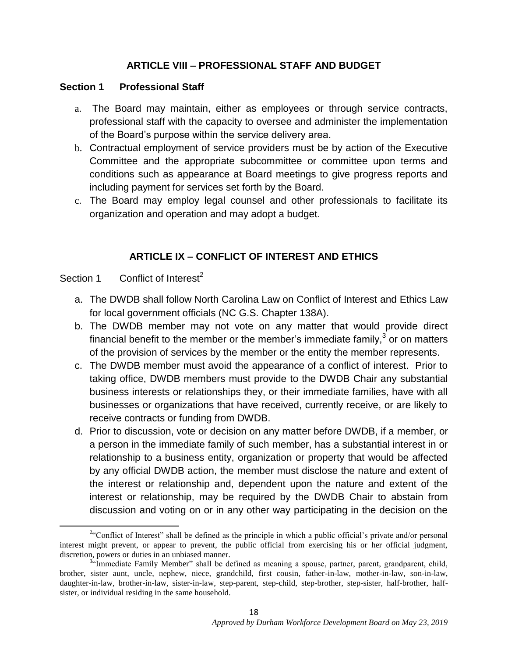### **ARTICLE VIII – PROFESSIONAL STAFF AND BUDGET**

#### **Section 1 Professional Staff**

- a. The Board may maintain, either as employees or through service contracts, professional staff with the capacity to oversee and administer the implementation of the Board's purpose within the service delivery area.
- b. Contractual employment of service providers must be by action of the Executive Committee and the appropriate subcommittee or committee upon terms and conditions such as appearance at Board meetings to give progress reports and including payment for services set forth by the Board.
- c. The Board may employ legal counsel and other professionals to facilitate its organization and operation and may adopt a budget.

### **ARTICLE IX – CONFLICT OF INTEREST AND ETHICS**

#### Section 1 Conflict of Interest<sup>2</sup>

 $\overline{\phantom{a}}$ 

- a. The DWDB shall follow North Carolina Law on Conflict of Interest and Ethics Law for local government officials (NC G.S. Chapter 138A).
- b. The DWDB member may not vote on any matter that would provide direct financial benefit to the member or the member's immediate family,<sup>3</sup> or on matters of the provision of services by the member or the entity the member represents.
- c. The DWDB member must avoid the appearance of a conflict of interest. Prior to taking office, DWDB members must provide to the DWDB Chair any substantial business interests or relationships they, or their immediate families, have with all businesses or organizations that have received, currently receive, or are likely to receive contracts or funding from DWDB.
- d. Prior to discussion, vote or decision on any matter before DWDB, if a member, or a person in the immediate family of such member, has a substantial interest in or relationship to a business entity, organization or property that would be affected by any official DWDB action, the member must disclose the nature and extent of the interest or relationship and, dependent upon the nature and extent of the interest or relationship, may be required by the DWDB Chair to abstain from discussion and voting on or in any other way participating in the decision on the

<sup>&</sup>lt;sup>2</sup>"Conflict of Interest" shall be defined as the principle in which a public official's private and/or personal interest might prevent, or appear to prevent, the public official from exercising his or her official judgment, discretion, powers or duties in an unbiased manner.

<sup>&</sup>lt;sup>3.4</sup>Immediate Family Member" shall be defined as meaning a spouse, partner, parent, grandparent, child, brother, sister aunt, uncle, nephew, niece, grandchild, first cousin, father-in-law, mother-in-law, son-in-law, daughter-in-law, brother-in-law, sister-in-law, step-parent, step-child, step-brother, step-sister, half-brother, halfsister, or individual residing in the same household.